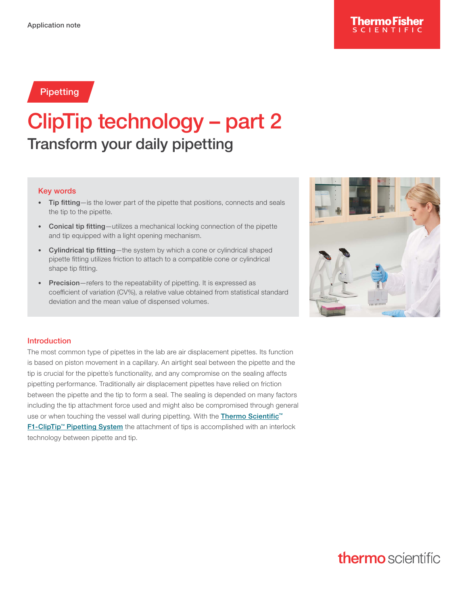### Pipetting

# ClipTip technology – part 2 Transform your daily pipetting

#### Key words

- Tip fitting—is the lower part of the pipette that positions, connects and seals the tip to the pipette.
- Conical tip fitting—utilizes a mechanical locking connection of the pipette and tip equipped with a light opening mechanism.
- Cylindrical tip fitting—the system by which a cone or cylindrical shaped pipette fitting utilizes friction to attach to a compatible cone or cylindrical shape tip fitting.
- Precision-refers to the repeatability of pipetting. It is expressed as coefficient of variation (CV%), a relative value obtained from statistical standard deviation and the mean value of dispensed volumes.



#### Introduction

The most common type of pipettes in the lab are air displacement pipettes. Its function is based on piston movement in a capillary. An airtight seal between the pipette and the tip is crucial for the pipette´s functionality, and any compromise on the sealing affects pipetting performance. Traditionally air displacement pipettes have relied on friction between the pipette and the tip to form a seal. The sealing is depended on many factors including the tip attachment force used and might also be compromised through general use or when touching the vessel wall during pipetting. With the **Thermo Scientific**<sup>™</sup> [F1-ClipTip™ Pipetting System](https://www.thermofisher.com/us/en/home/life-science/lab-plasticware-supplies/pipettes-pipette-tips/cliptip-pipetting-systems.html) the attachment of tips is accomplished with an interlock technology between pipette and tip.

# **thermo** scientific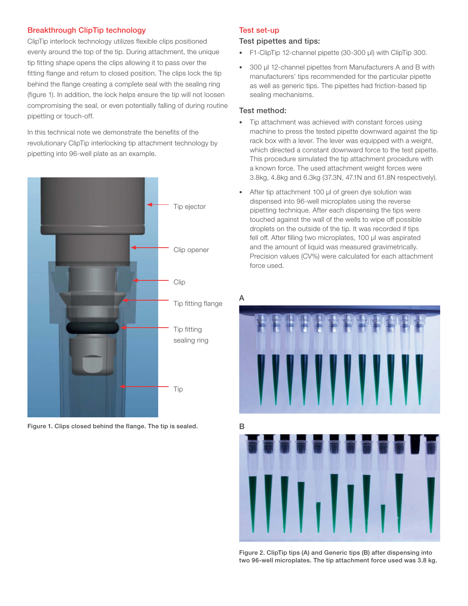#### Breakthrough ClipTip technology

ClipTip interlock technology utilizes flexible clips positioned evenly around the top of the tip. During attachment, the unique tip fitting shape opens the clips allowing it to pass over the fitting flange and return to closed position. The clips lock the tip behind the flange creating a complete seal with the sealing ring (figure 1). In addition, the lock helps ensure the tip will not loosen compromising the seal, or even potentially falling of during routine pipetting or touch-off.

In this technical note we demonstrate the benefits of the revolutionary ClipTip interlocking tip attachment technology by pipetting into 96-well plate as an example.



Figure 1. Clips closed behind the flange. The tip is sealed.

#### Test set-up

#### Test pipettes and tips:

- F1-ClipTip 12-channel pipette (30-300 μl) with ClipTip 300.
- 300 μl 12-channel pipettes from Manufacturers A and B with manufacturers' tips recommended for the particular pipette as well as generic tips. The pipettes had friction-based tip sealing mechanisms.

#### Test method:

- Tip attachment was achieved with constant forces using machine to press the tested pipette downward against the tip rack box with a lever. The lever was equipped with a weight, which directed a constant downward force to the test pipette. This procedure simulated the tip attachment procedure with a known force. The used attachment weight forces were 3.8kg, 4.8kg and 6.3kg (37.3N, 47.1N and 61.8N respectively).
- After tip attachment 100 μl of green dye solution was dispensed into 96-well microplates using the reverse pipetting technique. After each dispensing the tips were touched against the wall of the wells to wipe off possible droplets on the outside of the tip. It was recorded if tips fell off. After filling two microplates, 100 μl was aspirated and the amount of liquid was measured gravimetrically. Precision values (CV%) were calculated for each attachment force used.





Figure 2. ClipTip tips (A) and Generic tips (B) after dispensing into two 96-well microplates. The tip attachment force used was 3.8 kg.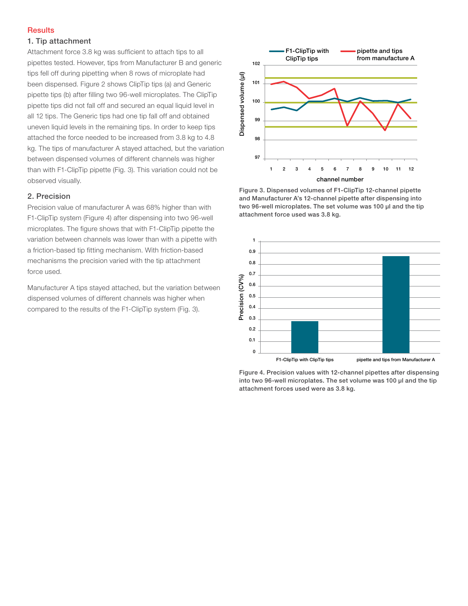#### **Results**

#### 1. Tip attachment

Attachment force 3.8 kg was sufficient to attach tips to all pipettes tested. However, tips from Manufacturer B and generic tips fell off during pipetting when 8 rows of microplate had been dispensed. Figure 2 shows ClipTip tips (a) and Generic pipette tips (b) after filling two 96-well microplates. The ClipTip pipette tips did not fall off and secured an equal liquid level in all 12 tips. The Generic tips had one tip fall off and obtained uneven liquid levels in the remaining tips. In order to keep tips attached the force needed to be increased from 3.8 kg to 4.8 kg. The tips of manufacturer A stayed attached, but the variation between dispensed volumes of different channels was higher than with F1-ClipTip pipette (Fig. 3). This variation could not be observed visually.

#### 2. Precision

Precision value of manufacturer A was 68% higher than with F1-ClipTip system (Figure 4) after dispensing into two 96-well microplates. The figure shows that with F1-ClipTip pipette the variation between channels was lower than with a pipette with a friction-based tip fitting mechanism. With friction-based mechanisms the precision varied with the tip attachment force used.

Manufacturer A tips stayed attached, but the variation between dispensed volumes of different channels was higher when compared to the results of the F1-ClipTip system (Fig. 3).



Figure 3. Dispensed volumes of F1-ClipTip 12-channel pipette and Manufacturer A's 12-channel pipette after dispensing into two 96-well microplates. The set volume was 100 μl and the tip attachment force used was 3.8 kg.



Figure 4. Precision values with 12-channel pipettes after dispensing into two 96-well microplates. The set volume was 100 μl and the tip attachment forces used were as 3.8 kg.